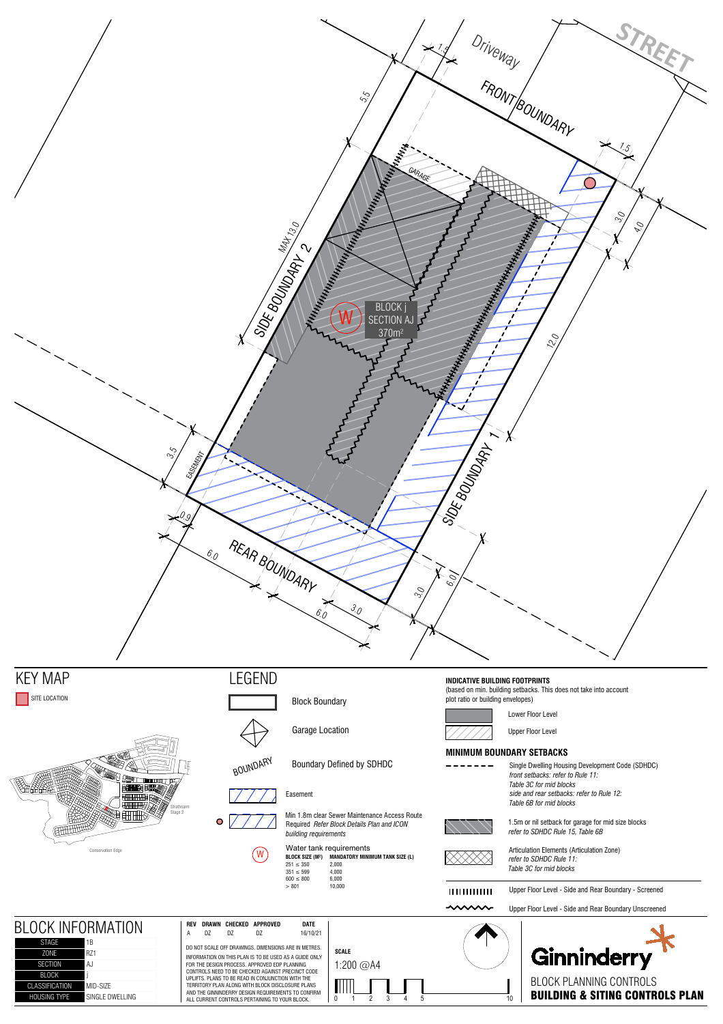